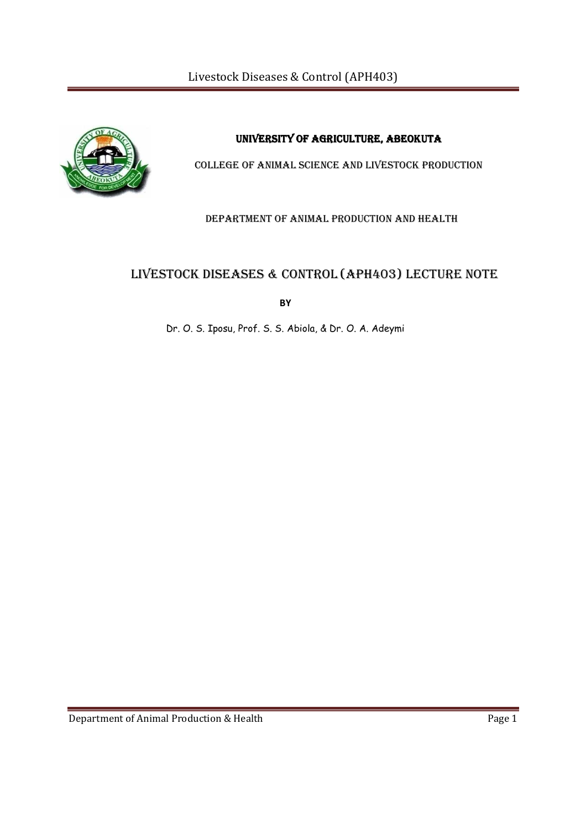Livestock Diseases & Control (APH403)



UNIVERSITY OF AGRICULTURE, ABEOKUTA

COLLEGE OF ANIMAL SCIENCE AND LIVESTOCK PRODUCTION

DEPARTMENT OF ANIMAL PRODUCTION AND HEALTH

# LIVESTOCK DISEASES & CONTROL (APH403) LECTURE NOTE

**BY** 

Dr. O. S. Iposu, Prof. S. S. Abiola, & Dr. O. A. Adeymi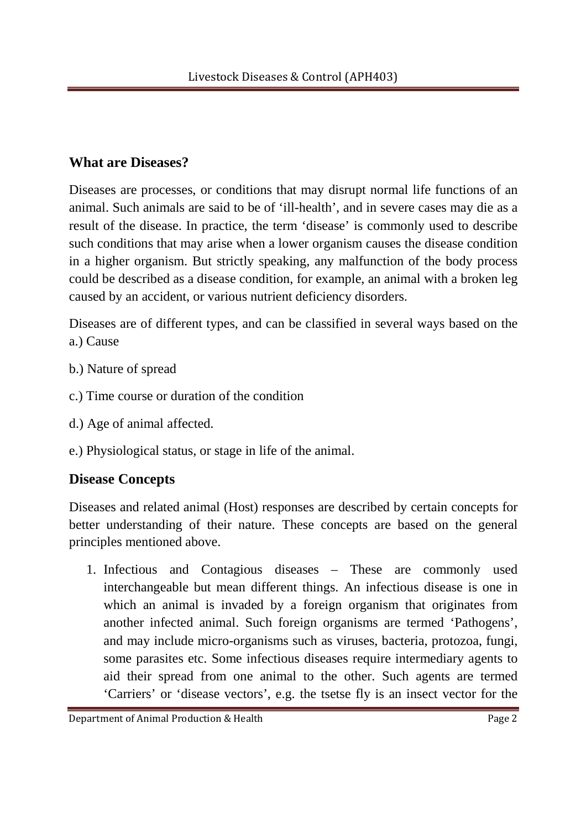# **What are Diseases?**

Diseases are processes, or conditions that may disrupt normal life functions of an animal. Such animals are said to be of 'ill-health', and in severe cases may die as a result of the disease. In practice, the term 'disease' is commonly used to describe such conditions that may arise when a lower organism causes the disease condition in a higher organism. But strictly speaking, any malfunction of the body process could be described as a disease condition, for example, an animal with a broken leg caused by an accident, or various nutrient deficiency disorders.

Diseases are of different types, and can be classified in several ways based on the a.) Cause

- b.) Nature of spread
- c.) Time course or duration of the condition
- d.) Age of animal affected.
- e.) Physiological status, or stage in life of the animal.

# **Disease Concepts**

Diseases and related animal (Host) responses are described by certain concepts for better understanding of their nature. These concepts are based on the general principles mentioned above.

1. Infectious and Contagious diseases – These are commonly used interchangeable but mean different things. An infectious disease is one in which an animal is invaded by a foreign organism that originates from another infected animal. Such foreign organisms are termed 'Pathogens', and may include micro-organisms such as viruses, bacteria, protozoa, fungi, some parasites etc. Some infectious diseases require intermediary agents to aid their spread from one animal to the other. Such agents are termed 'Carriers' or 'disease vectors', e.g. the tsetse fly is an insect vector for the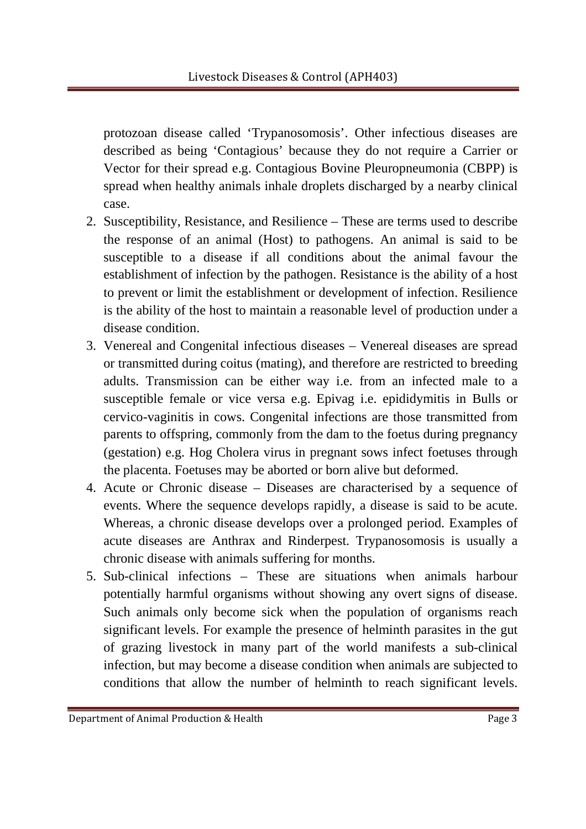protozoan disease called 'Trypanosomosis'. Other infectious diseases are described as being 'Contagious' because they do not require a Carrier or Vector for their spread e.g. Contagious Bovine Pleuropneumonia (CBPP) is spread when healthy animals inhale droplets discharged by a nearby clinical case.

- 2. Susceptibility, Resistance, and Resilience These are terms used to describe the response of an animal (Host) to pathogens. An animal is said to be susceptible to a disease if all conditions about the animal favour the establishment of infection by the pathogen. Resistance is the ability of a host to prevent or limit the establishment or development of infection. Resilience is the ability of the host to maintain a reasonable level of production under a disease condition.
- 3. Venereal and Congenital infectious diseases Venereal diseases are spread or transmitted during coitus (mating), and therefore are restricted to breeding adults. Transmission can be either way i.e. from an infected male to a susceptible female or vice versa e.g. Epivag i.e. epididymitis in Bulls or cervico-vaginitis in cows. Congenital infections are those transmitted from parents to offspring, commonly from the dam to the foetus during pregnancy (gestation) e.g. Hog Cholera virus in pregnant sows infect foetuses through the placenta. Foetuses may be aborted or born alive but deformed.
- 4. Acute or Chronic disease Diseases are characterised by a sequence of events. Where the sequence develops rapidly, a disease is said to be acute. Whereas, a chronic disease develops over a prolonged period. Examples of acute diseases are Anthrax and Rinderpest. Trypanosomosis is usually a chronic disease with animals suffering for months.
- 5. Sub-clinical infections These are situations when animals harbour potentially harmful organisms without showing any overt signs of disease. Such animals only become sick when the population of organisms reach significant levels. For example the presence of helminth parasites in the gut of grazing livestock in many part of the world manifests a sub-clinical infection, but may become a disease condition when animals are subjected to conditions that allow the number of helminth to reach significant levels.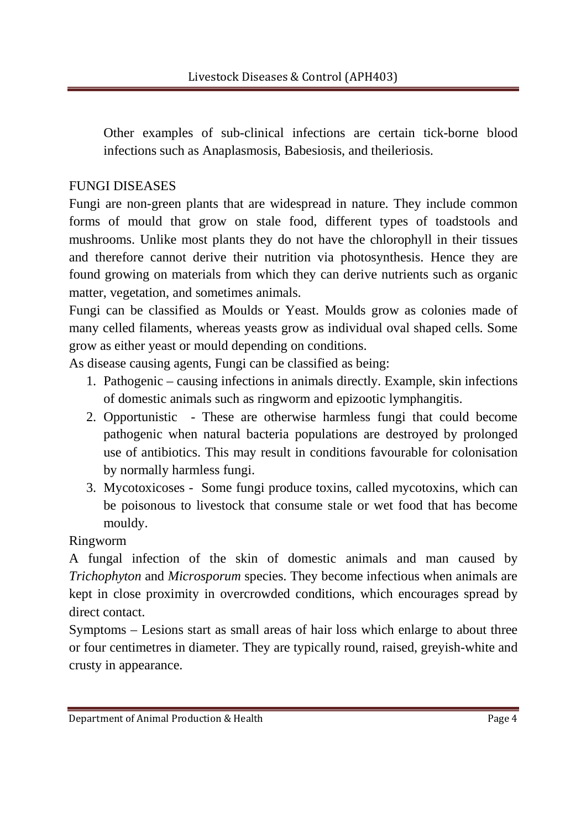Other examples of sub-clinical infections are certain tick-borne blood infections such as Anaplasmosis, Babesiosis, and theileriosis.

# FUNGI DISEASES

Fungi are non-green plants that are widespread in nature. They include common forms of mould that grow on stale food, different types of toadstools and mushrooms. Unlike most plants they do not have the chlorophyll in their tissues and therefore cannot derive their nutrition via photosynthesis. Hence they are found growing on materials from which they can derive nutrients such as organic matter, vegetation, and sometimes animals.

Fungi can be classified as Moulds or Yeast. Moulds grow as colonies made of many celled filaments, whereas yeasts grow as individual oval shaped cells. Some grow as either yeast or mould depending on conditions.

As disease causing agents, Fungi can be classified as being:

- 1. Pathogenic causing infections in animals directly. Example, skin infections of domestic animals such as ringworm and epizootic lymphangitis.
- 2. Opportunistic These are otherwise harmless fungi that could become pathogenic when natural bacteria populations are destroyed by prolonged use of antibiotics. This may result in conditions favourable for colonisation by normally harmless fungi.
- 3. Mycotoxicoses Some fungi produce toxins, called mycotoxins, which can be poisonous to livestock that consume stale or wet food that has become mouldy.

Ringworm

A fungal infection of the skin of domestic animals and man caused by *Trichophyton* and *Microsporum* species. They become infectious when animals are kept in close proximity in overcrowded conditions, which encourages spread by direct contact.

Symptoms – Lesions start as small areas of hair loss which enlarge to about three or four centimetres in diameter. They are typically round, raised, greyish-white and crusty in appearance.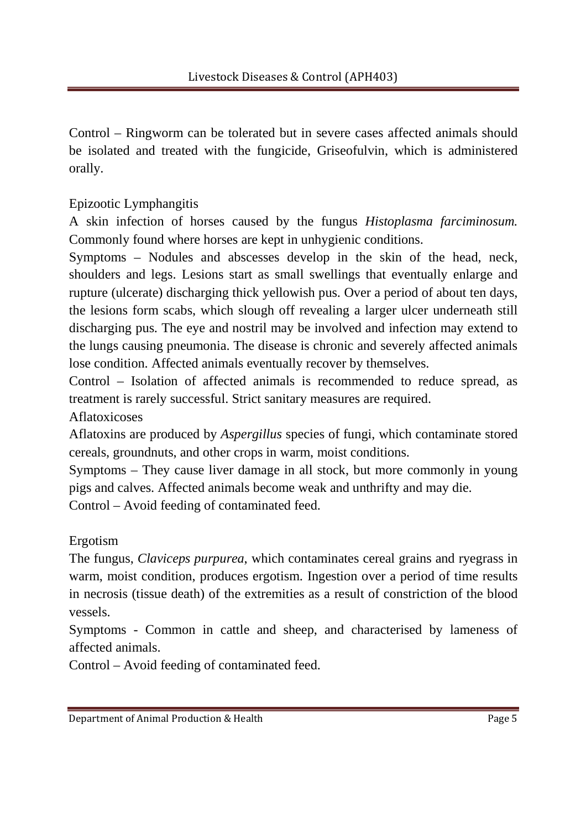Control – Ringworm can be tolerated but in severe cases affected animals should be isolated and treated with the fungicide, Griseofulvin, which is administered orally.

Epizootic Lymphangitis

A skin infection of horses caused by the fungus *Histoplasma farciminosum.* Commonly found where horses are kept in unhygienic conditions.

Symptoms – Nodules and abscesses develop in the skin of the head, neck, shoulders and legs. Lesions start as small swellings that eventually enlarge and rupture (ulcerate) discharging thick yellowish pus. Over a period of about ten days, the lesions form scabs, which slough off revealing a larger ulcer underneath still discharging pus. The eye and nostril may be involved and infection may extend to the lungs causing pneumonia. The disease is chronic and severely affected animals lose condition. Affected animals eventually recover by themselves.

Control – Isolation of affected animals is recommended to reduce spread, as treatment is rarely successful. Strict sanitary measures are required.

Aflatoxicoses

Aflatoxins are produced by *Aspergillus* species of fungi, which contaminate stored cereals, groundnuts, and other crops in warm, moist conditions.

Symptoms – They cause liver damage in all stock, but more commonly in young pigs and calves. Affected animals become weak and unthrifty and may die.

Control – Avoid feeding of contaminated feed.

Ergotism

The fungus, *Claviceps purpurea*, which contaminates cereal grains and ryegrass in warm, moist condition, produces ergotism. Ingestion over a period of time results in necrosis (tissue death) of the extremities as a result of constriction of the blood vessels.

Symptoms - Common in cattle and sheep, and characterised by lameness of affected animals.

Control – Avoid feeding of contaminated feed.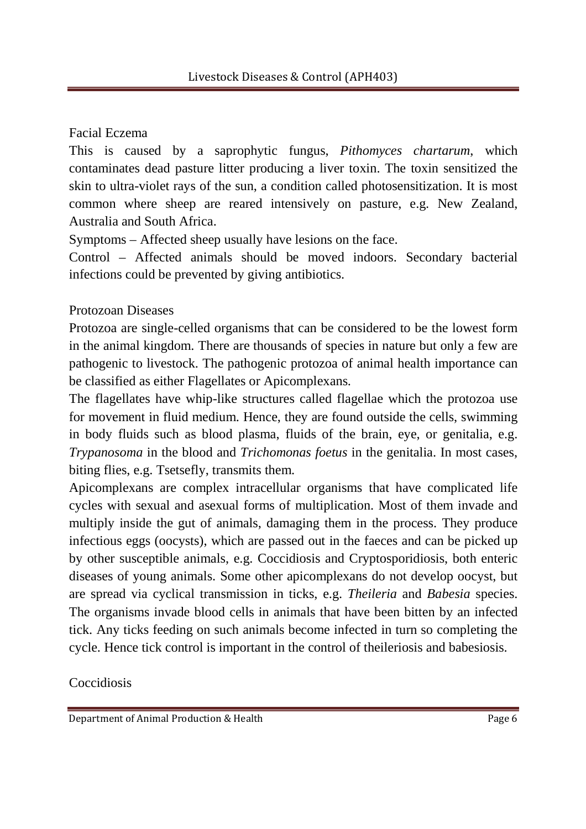# Facial Eczema

This is caused by a saprophytic fungus, *Pithomyces chartarum*, which contaminates dead pasture litter producing a liver toxin. The toxin sensitized the skin to ultra-violet rays of the sun, a condition called photosensitization. It is most common where sheep are reared intensively on pasture, e.g. New Zealand, Australia and South Africa.

Symptoms – Affected sheep usually have lesions on the face.

Control – Affected animals should be moved indoors. Secondary bacterial infections could be prevented by giving antibiotics.

# Protozoan Diseases

Protozoa are single-celled organisms that can be considered to be the lowest form in the animal kingdom. There are thousands of species in nature but only a few are pathogenic to livestock. The pathogenic protozoa of animal health importance can be classified as either Flagellates or Apicomplexans.

The flagellates have whip-like structures called flagellae which the protozoa use for movement in fluid medium. Hence, they are found outside the cells, swimming in body fluids such as blood plasma, fluids of the brain, eye, or genitalia, e.g. *Trypanosoma* in the blood and *Trichomonas foetus* in the genitalia. In most cases, biting flies, e.g. Tsetsefly, transmits them.

Apicomplexans are complex intracellular organisms that have complicated life cycles with sexual and asexual forms of multiplication. Most of them invade and multiply inside the gut of animals, damaging them in the process. They produce infectious eggs (oocysts), which are passed out in the faeces and can be picked up by other susceptible animals, e.g. Coccidiosis and Cryptosporidiosis, both enteric diseases of young animals. Some other apicomplexans do not develop oocyst, but are spread via cyclical transmission in ticks, e.g. *Theileria* and *Babesia* species. The organisms invade blood cells in animals that have been bitten by an infected tick. Any ticks feeding on such animals become infected in turn so completing the cycle. Hence tick control is important in the control of theileriosis and babesiosis.

Coccidiosis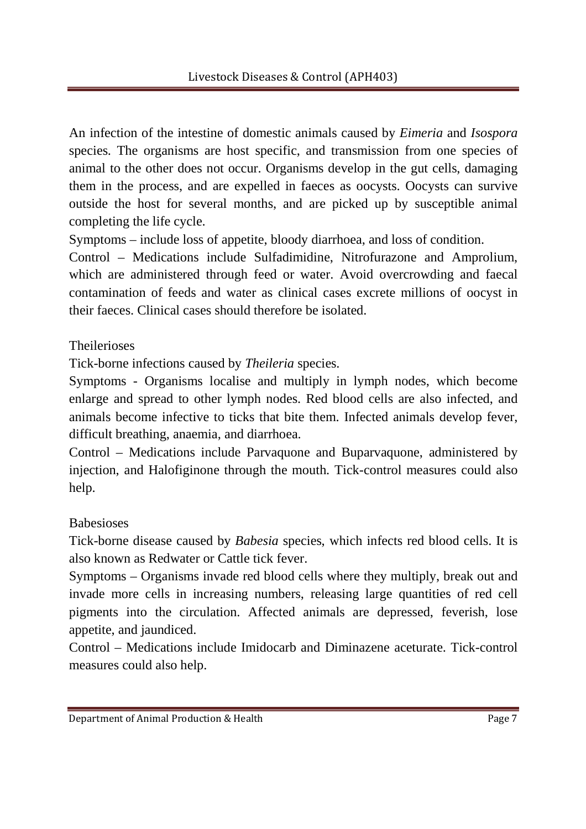An infection of the intestine of domestic animals caused by *Eimeria* and *Isospora* species. The organisms are host specific, and transmission from one species of animal to the other does not occur. Organisms develop in the gut cells, damaging them in the process, and are expelled in faeces as oocysts. Oocysts can survive outside the host for several months, and are picked up by susceptible animal completing the life cycle.

Symptoms – include loss of appetite, bloody diarrhoea, and loss of condition.

Control – Medications include Sulfadimidine, Nitrofurazone and Amprolium, which are administered through feed or water. Avoid overcrowding and faecal contamination of feeds and water as clinical cases excrete millions of oocyst in their faeces. Clinical cases should therefore be isolated.

**Theilerioses** 

Tick-borne infections caused by *Theileria* species.

Symptoms - Organisms localise and multiply in lymph nodes, which become enlarge and spread to other lymph nodes. Red blood cells are also infected, and animals become infective to ticks that bite them. Infected animals develop fever, difficult breathing, anaemia, and diarrhoea.

Control – Medications include Parvaquone and Buparvaquone, administered by injection, and Halofiginone through the mouth. Tick-control measures could also help.

# Babesioses

Tick-borne disease caused by *Babesia* species, which infects red blood cells. It is also known as Redwater or Cattle tick fever.

Symptoms – Organisms invade red blood cells where they multiply, break out and invade more cells in increasing numbers, releasing large quantities of red cell pigments into the circulation. Affected animals are depressed, feverish, lose appetite, and jaundiced.

Control – Medications include Imidocarb and Diminazene aceturate. Tick-control measures could also help.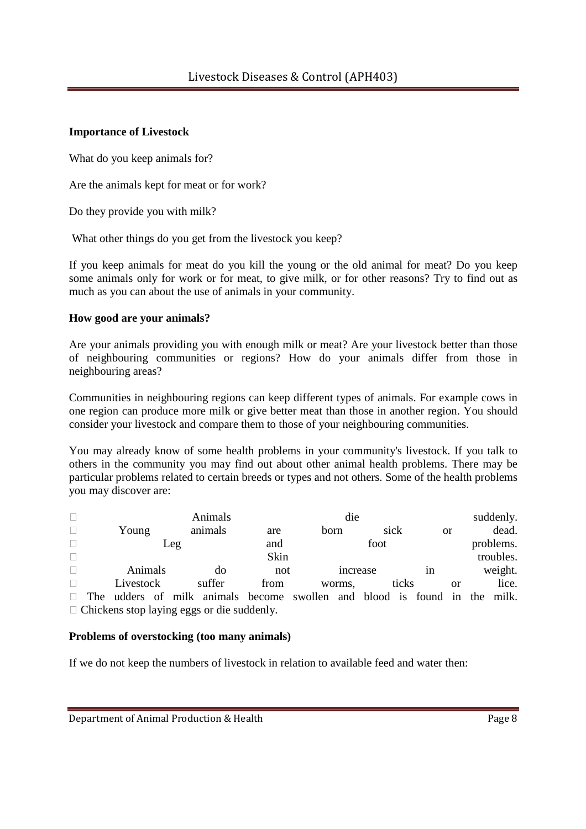## **Importance of Livestock**

What do you keep animals for?

Are the animals kept for meat or for work?

Do they provide you with milk?

What other things do you get from the livestock you keep?

If you keep animals for meat do you kill the young or the old animal for meat? Do you keep some animals only for work or for meat, to give milk, or for other reasons? Try to find out as much as you can about the use of animals in your community.

## **How good are your animals?**

Are your animals providing you with enough milk or meat? Are your livestock better than those of neighbouring communities or regions? How do your animals differ from those in neighbouring areas?

Communities in neighbouring regions can keep different types of animals. For example cows in one region can produce more milk or give better meat than those in another region. You should consider your livestock and compare them to those of your neighbouring communities.

You may already know of some health problems in your community's livestock. If you talk to others in the community you may find out about other animal health problems. There may be particular problems related to certain breeds or types and not others. Some of the health problems you may discover are:

|     | Animals   |  |  |                                            | die                                                                   |      |          |      |       |           | suddenly. |  |           |
|-----|-----------|--|--|--------------------------------------------|-----------------------------------------------------------------------|------|----------|------|-------|-----------|-----------|--|-----------|
|     | Young     |  |  | animals                                    | are                                                                   | born |          | sick |       |           | <b>or</b> |  | dead.     |
| Leg |           |  |  | and                                        |                                                                       | foot |          |      |       | problems. |           |  |           |
|     |           |  |  |                                            | Skin                                                                  |      |          |      |       |           |           |  | troubles. |
|     | Animals   |  |  | do                                         | not                                                                   |      | increase |      | 1n    |           | weight.   |  |           |
|     | Livestock |  |  | suffer                                     | from                                                                  |      | worms,   |      | ticks |           | or        |  | lice.     |
| The |           |  |  |                                            | udders of milk animals become swollen and blood is found in the milk. |      |          |      |       |           |           |  |           |
|     |           |  |  | Chickens stop laying eggs or die suddenly. |                                                                       |      |          |      |       |           |           |  |           |

## **Problems of overstocking (too many animals)**

If we do not keep the numbers of livestock in relation to available feed and water then: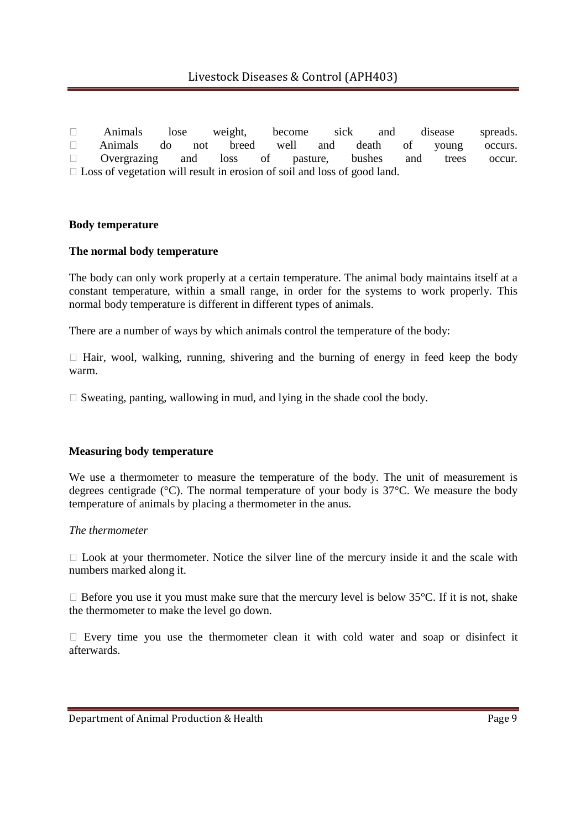Animals lose weight, become sick and disease spreads. Animals do not breed well and death of young occurs. Overgrazing and loss of pasture, bushes and trees occur. Loss of vegetation will result in erosion of soil and loss of good land.

### **Body temperature**

#### **The normal body temperature**

The body can only work properly at a certain temperature. The animal body maintains itself at a constant temperature, within a small range, in order for the systems to work properly. This normal body temperature is different in different types of animals.

There are a number of ways by which animals control the temperature of the body:

 Hair, wool, walking, running, shivering and the burning of energy in feed keep the body warm.

Sweating, panting, wallowing in mud, and lying in the shade cool the body.

#### **Measuring body temperature**

We use a thermometer to measure the temperature of the body. The unit of measurement is degrees centigrade ( $^{\circ}$ C). The normal temperature of your body is 37 $^{\circ}$ C. We measure the body temperature of animals by placing a thermometer in the anus.

#### *The thermometer*

 Look at your thermometer. Notice the silver line of the mercury inside it and the scale with numbers marked along it.

 Before you use it you must make sure that the mercury level is below 35°C. If it is not, shake the thermometer to make the level go down.

 Every time you use the thermometer clean it with cold water and soap or disinfect it afterwards.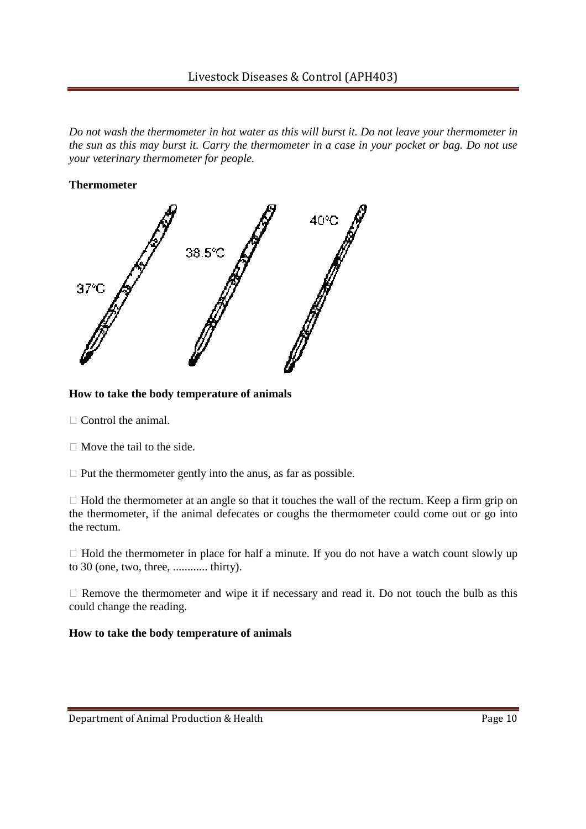*Do not wash the thermometer in hot water as this will burst it. Do not leave your thermometer in the sun as this may burst it. Carry the thermometer in a case in your pocket or bag. Do not use your veterinary thermometer for people.*

### **Thermometer**



## **How to take the body temperature of animals**

Control the animal.

Move the tail to the side.

Put the thermometer gently into the anus, as far as possible.

 Hold the thermometer at an angle so that it touches the wall of the rectum. Keep a firm grip on the thermometer, if the animal defecates or coughs the thermometer could come out or go into the rectum.

 Hold the thermometer in place for half a minute. If you do not have a watch count slowly up to 30 (one, two, three, ............ thirty).

 Remove the thermometer and wipe it if necessary and read it. Do not touch the bulb as this could change the reading.

### **How to take the body temperature of animals**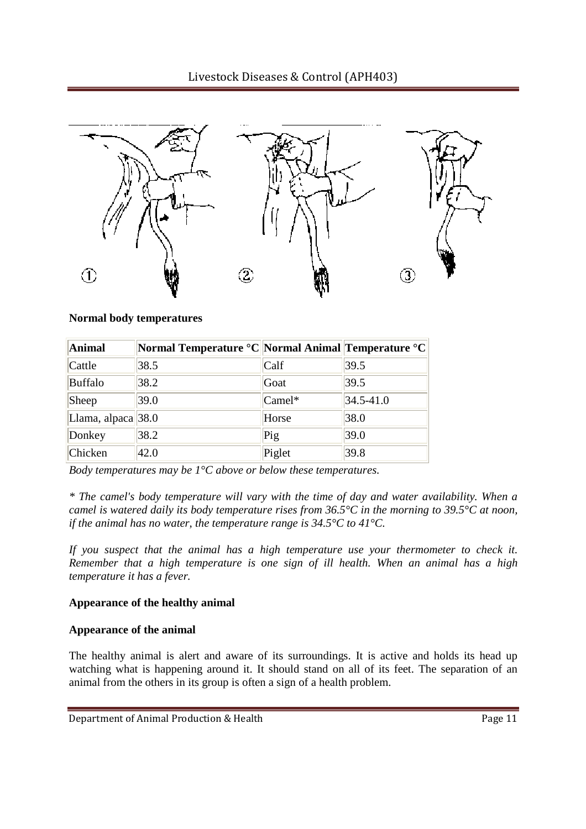

**Normal body temperatures**

| Animal                | <b>Normal Temperature °C Normal Animal Temperature °C</b> |          |               |
|-----------------------|-----------------------------------------------------------|----------|---------------|
| Cattle                | 38.5                                                      | Calf     | 39.5          |
| <b>Buffalo</b>        | 38.2                                                      | Goat     | 39.5          |
| Sheep                 | 39.0                                                      | $Camel*$ | $34.5 - 41.0$ |
| Llama, alpaca $ 38.0$ |                                                           | Horse    | 38.0          |
| Donkey                | 38.2                                                      | Pig      | 39.0          |
| Chicken               | 42.0                                                      | Piglet   | 39.8          |

*Body temperatures may be 1°C above or below these temperatures.*

*\* The camel's body temperature will vary with the time of day and water availability. When a camel is watered daily its body temperature rises from 36.5°C in the morning to 39.5°C at noon, if the animal has no water, the temperature range is 34.5°C to 41°C.*

*If you suspect that the animal has a high temperature use your thermometer to check it. Remember that a high temperature is one sign of ill health. When an animal has a high temperature it has a fever.*

### **Appearance of the healthy animal**

## **Appearance of the animal**

The healthy animal is alert and aware of its surroundings. It is active and holds its head up watching what is happening around it. It should stand on all of its feet. The separation of an animal from the others in its group is often a sign of a health problem.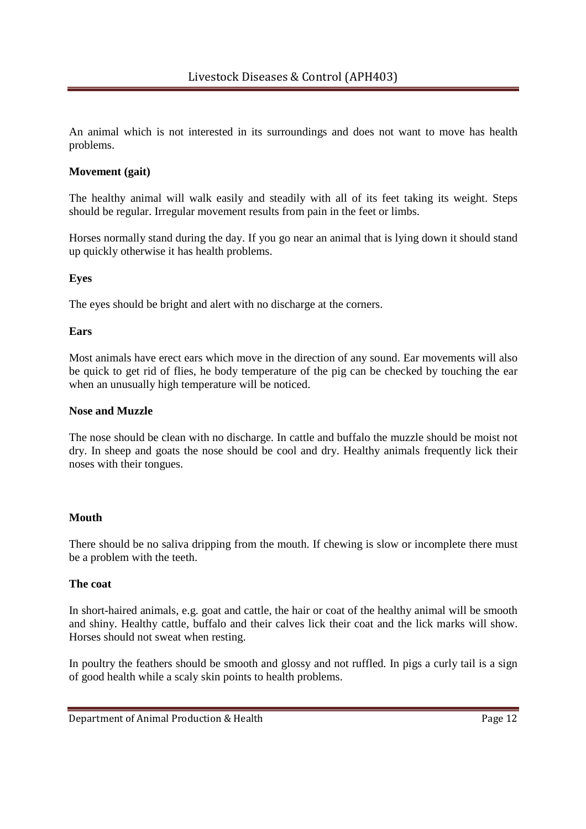An animal which is not interested in its surroundings and does not want to move has health problems.

## **Movement (gait)**

The healthy animal will walk easily and steadily with all of its feet taking its weight. Steps should be regular. Irregular movement results from pain in the feet or limbs.

Horses normally stand during the day. If you go near an animal that is lying down it should stand up quickly otherwise it has health problems.

## **Eyes**

The eyes should be bright and alert with no discharge at the corners.

## **Ears**

Most animals have erect ears which move in the direction of any sound. Ear movements will also be quick to get rid of flies, he body temperature of the pig can be checked by touching the ear when an unusually high temperature will be noticed.

### **Nose and Muzzle**

The nose should be clean with no discharge. In cattle and buffalo the muzzle should be moist not dry. In sheep and goats the nose should be cool and dry. Healthy animals frequently lick their noses with their tongues.

### **Mouth**

There should be no saliva dripping from the mouth. If chewing is slow or incomplete there must be a problem with the teeth.

### **The coat**

In short-haired animals, e.g. goat and cattle, the hair or coat of the healthy animal will be smooth and shiny. Healthy cattle, buffalo and their calves lick their coat and the lick marks will show. Horses should not sweat when resting.

In poultry the feathers should be smooth and glossy and not ruffled. In pigs a curly tail is a sign of good health while a scaly skin points to health problems.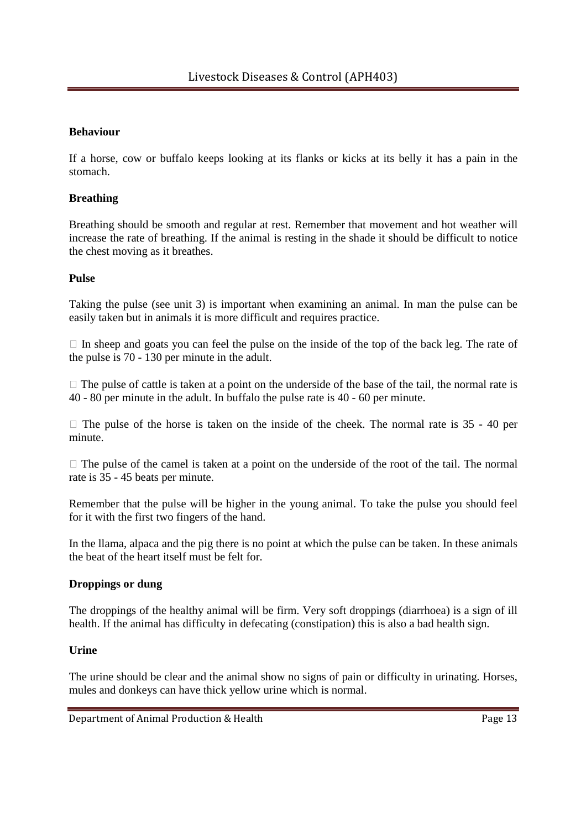## **Behaviour**

If a horse, cow or buffalo keeps looking at its flanks or kicks at its belly it has a pain in the stomach.

## **Breathing**

Breathing should be smooth and regular at rest. Remember that movement and hot weather will increase the rate of breathing. If the animal is resting in the shade it should be difficult to notice the chest moving as it breathes.

### **Pulse**

Taking the pulse (see unit 3) is important when examining an animal. In man the pulse can be easily taken but in animals it is more difficult and requires practice.

 In sheep and goats you can feel the pulse on the inside of the top of the back leg. The rate of the pulse is 70 - 130 per minute in the adult.

 The pulse of cattle is taken at a point on the underside of the base of the tail, the normal rate is 40 - 80 per minute in the adult. In buffalo the pulse rate is 40 - 60 per minute.

 The pulse of the horse is taken on the inside of the cheek. The normal rate is 35 - 40 per minute.

 The pulse of the camel is taken at a point on the underside of the root of the tail. The normal rate is 35 - 45 beats per minute.

Remember that the pulse will be higher in the young animal. To take the pulse you should feel for it with the first two fingers of the hand.

In the llama, alpaca and the pig there is no point at which the pulse can be taken. In these animals the beat of the heart itself must be felt for.

### **Droppings or dung**

The droppings of the healthy animal will be firm. Very soft droppings (diarrhoea) is a sign of ill health. If the animal has difficulty in defecating (constipation) this is also a bad health sign.

### **Urine**

The urine should be clear and the animal show no signs of pain or difficulty in urinating. Horses, mules and donkeys can have thick yellow urine which is normal.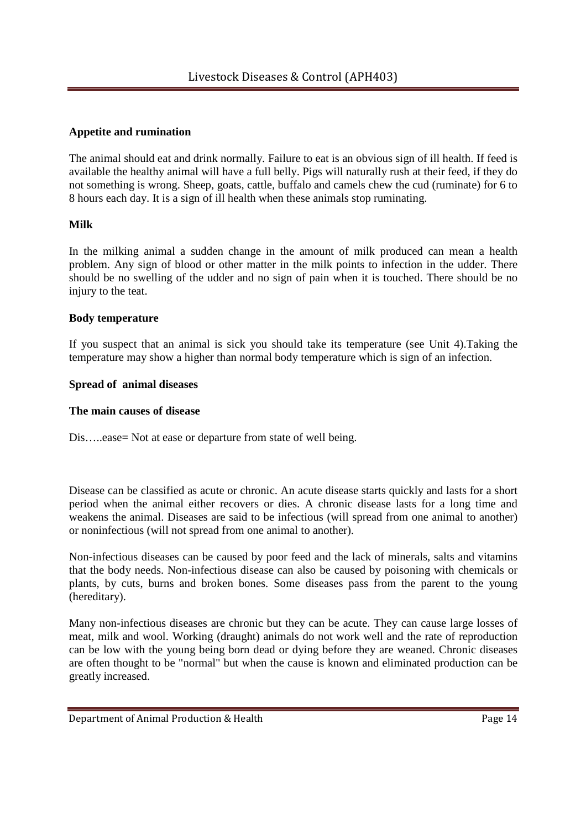## **Appetite and rumination**

The animal should eat and drink normally. Failure to eat is an obvious sign of ill health. If feed is available the healthy animal will have a full belly. Pigs will naturally rush at their feed, if they do not something is wrong. Sheep, goats, cattle, buffalo and camels chew the cud (ruminate) for 6 to 8 hours each day. It is a sign of ill health when these animals stop ruminating.

## **Milk**

In the milking animal a sudden change in the amount of milk produced can mean a health problem. Any sign of blood or other matter in the milk points to infection in the udder. There should be no swelling of the udder and no sign of pain when it is touched. There should be no injury to the teat.

### **Body temperature**

If you suspect that an animal is sick you should take its temperature (see Unit 4).Taking the temperature may show a higher than normal body temperature which is sign of an infection.

## **Spread of animal diseases**

## **The main causes of disease**

Dis.....ease= Not at ease or departure from state of well being.

Disease can be classified as acute or chronic. An acute disease starts quickly and lasts for a short period when the animal either recovers or dies. A chronic disease lasts for a long time and weakens the animal. Diseases are said to be infectious (will spread from one animal to another) or noninfectious (will not spread from one animal to another).

Non-infectious diseases can be caused by poor feed and the lack of minerals, salts and vitamins that the body needs. Non-infectious disease can also be caused by poisoning with chemicals or plants, by cuts, burns and broken bones. Some diseases pass from the parent to the young (hereditary).

Many non-infectious diseases are chronic but they can be acute. They can cause large losses of meat, milk and wool. Working (draught) animals do not work well and the rate of reproduction can be low with the young being born dead or dying before they are weaned. Chronic diseases are often thought to be "normal" but when the cause is known and eliminated production can be greatly increased.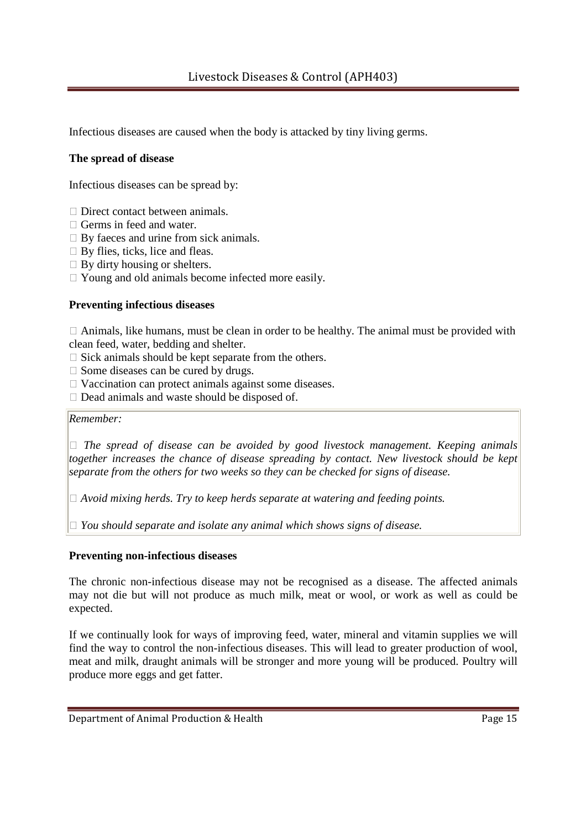Infectious diseases are caused when the body is attacked by tiny living germs.

## **The spread of disease**

Infectious diseases can be spread by:

 Direct contact between animals. Germs in feed and water. By faeces and urine from sick animals. By flies, ticks, lice and fleas. By dirty housing or shelters. Young and old animals become infected more easily.

## **Preventing infectious diseases**

 Animals, like humans, must be clean in order to be healthy. The animal must be provided with clean feed, water, bedding and shelter.

Sick animals should be kept separate from the others.

Some diseases can be cured by drugs.

Vaccination can protect animals against some diseases.

Dead animals and waste should be disposed of.

*Remember:* 

 *The spread of disease can be avoided by good livestock management. Keeping animals together increases the chance of disease spreading by contact. New livestock should be kept separate from the others for two weeks so they can be checked for signs of disease.*

 *Avoid mixing herds. Try to keep herds separate at watering and feeding points.*

 *You should separate and isolate any animal which shows signs of disease.*

### **Preventing non-infectious diseases**

The chronic non-infectious disease may not be recognised as a disease. The affected animals may not die but will not produce as much milk, meat or wool, or work as well as could be expected.

If we continually look for ways of improving feed, water, mineral and vitamin supplies we will find the way to control the non-infectious diseases. This will lead to greater production of wool, meat and milk, draught animals will be stronger and more young will be produced. Poultry will produce more eggs and get fatter.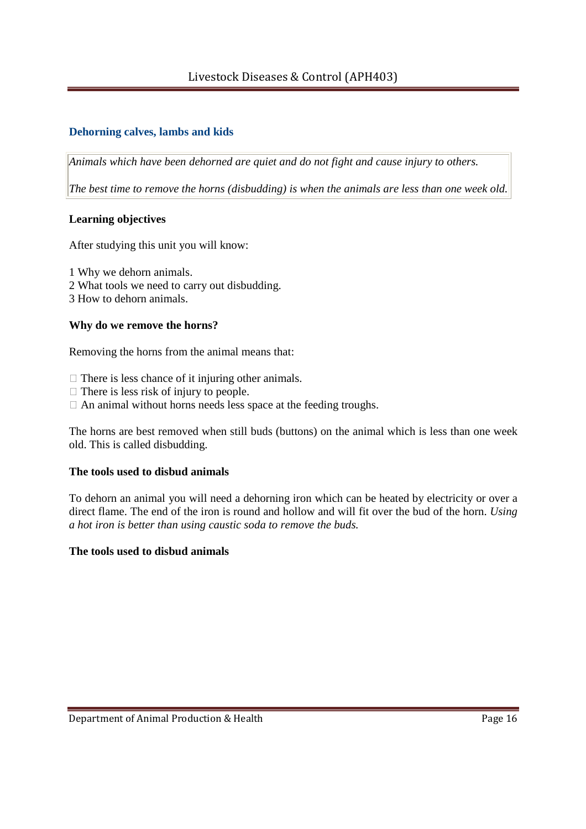# Livestock Diseases & Control (APH403)

# **Dehorning calves, lambs and kids**

*Animals which have been dehorned are quiet and do not fight and cause injury to others.*

*The best time to remove the horns (disbudding) is when the animals are less than one week old.*

## **Learning objectives**

After studying this unit you will know:

1 Why we dehorn animals.

- 2 What tools we need to carry out disbudding.
- 3 How to dehorn animals.

## **Why do we remove the horns?**

Removing the horns from the animal means that:

 There is less chance of it injuring other animals. There is less risk of injury to people. An animal without horns needs less space at the feeding troughs.

The horns are best removed when still buds (buttons) on the animal which is less than one week old. This is called disbudding.

## **The tools used to disbud animals**

To dehorn an animal you will need a dehorning iron which can be heated by electricity or over a direct flame. The end of the iron is round and hollow and will fit over the bud of the horn. *Using a hot iron is better than using caustic soda to remove the buds.*

### **The tools used to disbud animals**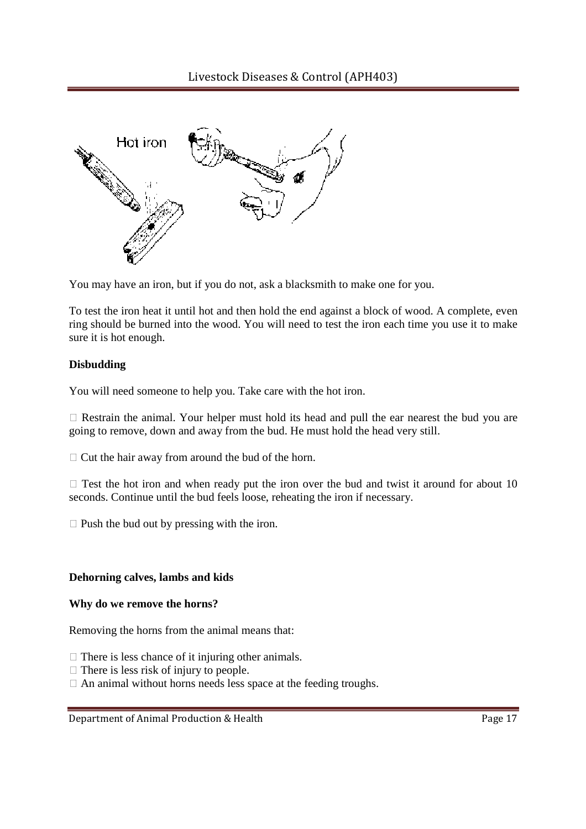

You may have an iron, but if you do not, ask a blacksmith to make one for you.

To test the iron heat it until hot and then hold the end against a block of wood. A complete, even ring should be burned into the wood. You will need to test the iron each time you use it to make sure it is hot enough.

#### **Disbudding**

You will need someone to help you. Take care with the hot iron.

 Restrain the animal. Your helper must hold its head and pull the ear nearest the bud you are going to remove, down and away from the bud. He must hold the head very still.

Cut the hair away from around the bud of the horn.

 Test the hot iron and when ready put the iron over the bud and twist it around for about 10 seconds. Continue until the bud feels loose, reheating the iron if necessary.

Push the bud out by pressing with the iron.

#### **Dehorning calves, lambs and kids**

#### **Why do we remove the horns?**

Removing the horns from the animal means that:

There is less chance of it injuring other animals. There is less risk of injury to people. An animal without horns needs less space at the feeding troughs.

Department of Animal Production & Health Page 17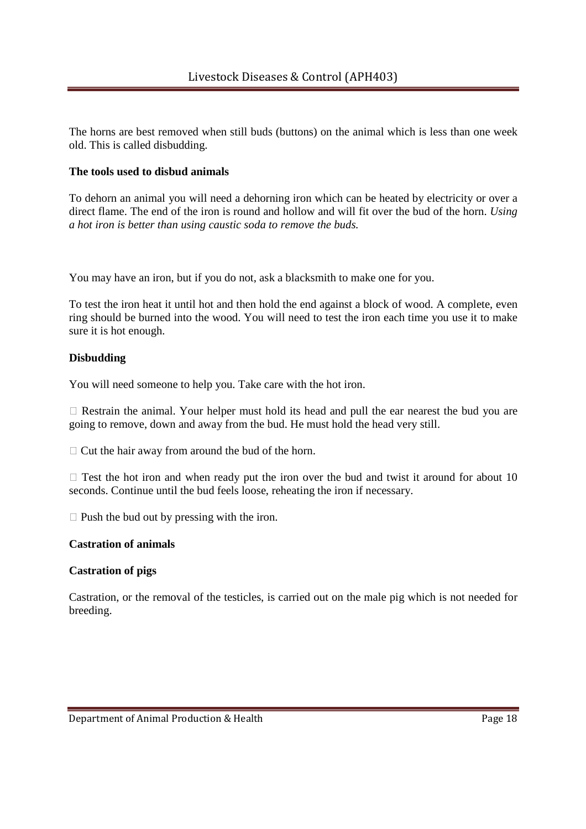The horns are best removed when still buds (buttons) on the animal which is less than one week old. This is called disbudding.

## **The tools used to disbud animals**

To dehorn an animal you will need a dehorning iron which can be heated by electricity or over a direct flame. The end of the iron is round and hollow and will fit over the bud of the horn. *Using a hot iron is better than using caustic soda to remove the buds.*

You may have an iron, but if you do not, ask a blacksmith to make one for you.

To test the iron heat it until hot and then hold the end against a block of wood. A complete, even ring should be burned into the wood. You will need to test the iron each time you use it to make sure it is hot enough.

### **Disbudding**

You will need someone to help you. Take care with the hot iron.

 Restrain the animal. Your helper must hold its head and pull the ear nearest the bud you are going to remove, down and away from the bud. He must hold the head very still.

Cut the hair away from around the bud of the horn.

 Test the hot iron and when ready put the iron over the bud and twist it around for about 10 seconds. Continue until the bud feels loose, reheating the iron if necessary.

Push the bud out by pressing with the iron.

## **Castration of animals**

### **Castration of pigs**

Castration, or the removal of the testicles, is carried out on the male pig which is not needed for breeding.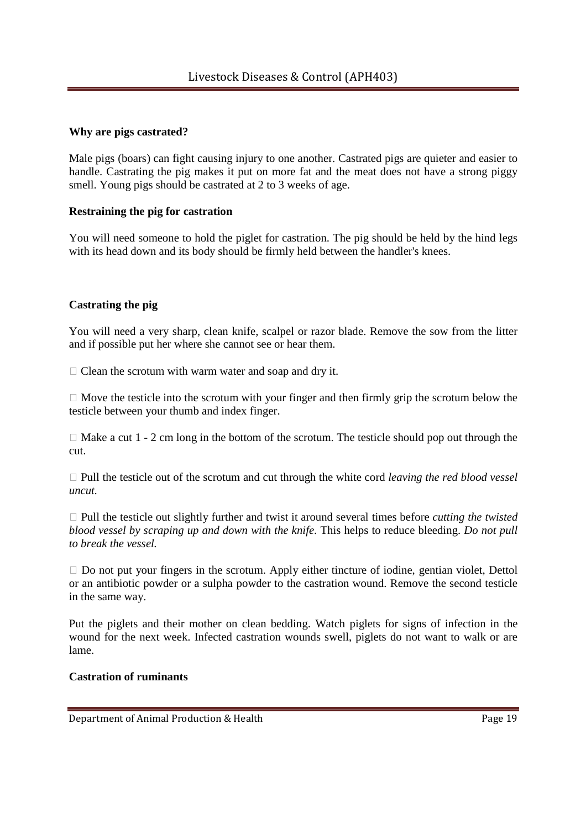## **Why are pigs castrated?**

Male pigs (boars) can fight causing injury to one another. Castrated pigs are quieter and easier to handle. Castrating the pig makes it put on more fat and the meat does not have a strong piggy smell. Young pigs should be castrated at 2 to 3 weeks of age.

## **Restraining the pig for castration**

You will need someone to hold the piglet for castration. The pig should be held by the hind legs with its head down and its body should be firmly held between the handler's knees.

## **Castrating the pig**

You will need a very sharp, clean knife, scalpel or razor blade. Remove the sow from the litter and if possible put her where she cannot see or hear them.

Clean the scrotum with warm water and soap and dry it.

 Move the testicle into the scrotum with your finger and then firmly grip the scrotum below the testicle between your thumb and index finger.

Make a cut 1 - 2 cm long in the bottom of the scrotum. The testicle should pop out through the cut.

 Pull the testicle out of the scrotum and cut through the white cord *leaving the red blood vessel uncut.*

 Pull the testicle out slightly further and twist it around several times before *cutting the twisted blood vessel by scraping up and down with the knife*. This helps to reduce bleeding. *Do not pull to break the vessel.*

 Do not put your fingers in the scrotum. Apply either tincture of iodine, gentian violet, Dettol or an antibiotic powder or a sulpha powder to the castration wound. Remove the second testicle in the same way.

Put the piglets and their mother on clean bedding. Watch piglets for signs of infection in the wound for the next week. Infected castration wounds swell, piglets do not want to walk or are lame.

## **Castration of ruminants**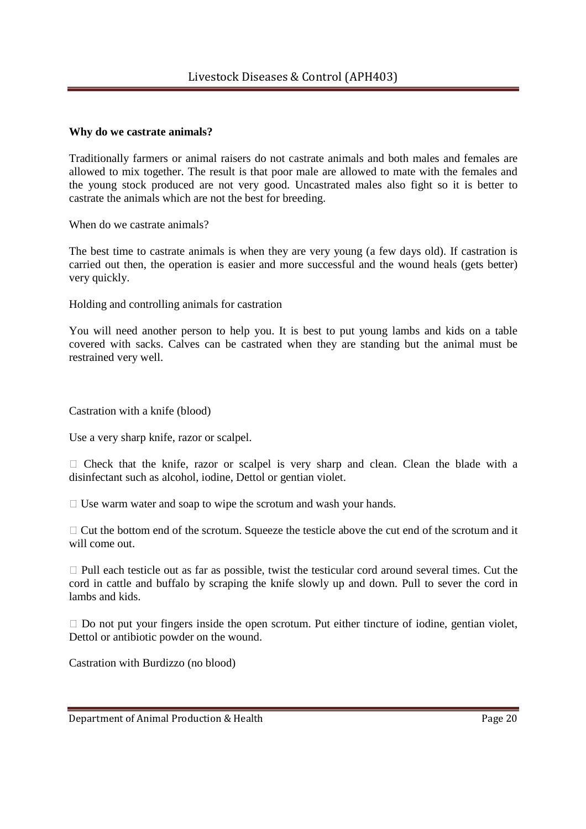## **Why do we castrate animals?**

Traditionally farmers or animal raisers do not castrate animals and both males and females are allowed to mix together. The result is that poor male are allowed to mate with the females and the young stock produced are not very good. Uncastrated males also fight so it is better to castrate the animals which are not the best for breeding.

When do we castrate animals?

The best time to castrate animals is when they are very young (a few days old). If castration is carried out then, the operation is easier and more successful and the wound heals (gets better) very quickly.

Holding and controlling animals for castration

You will need another person to help you. It is best to put young lambs and kids on a table covered with sacks. Calves can be castrated when they are standing but the animal must be restrained very well.

Castration with a knife (blood)

Use a very sharp knife, razor or scalpel.

 Check that the knife, razor or scalpel is very sharp and clean. Clean the blade with a disinfectant such as alcohol, iodine, Dettol or gentian violet.

Use warm water and soap to wipe the scrotum and wash your hands.

 Cut the bottom end of the scrotum. Squeeze the testicle above the cut end of the scrotum and it will come out.

 Pull each testicle out as far as possible, twist the testicular cord around several times. Cut the cord in cattle and buffalo by scraping the knife slowly up and down. Pull to sever the cord in lambs and kids.

 Do not put your fingers inside the open scrotum. Put either tincture of iodine, gentian violet, Dettol or antibiotic powder on the wound.

Castration with Burdizzo (no blood)

Department of Animal Production & Health Page 20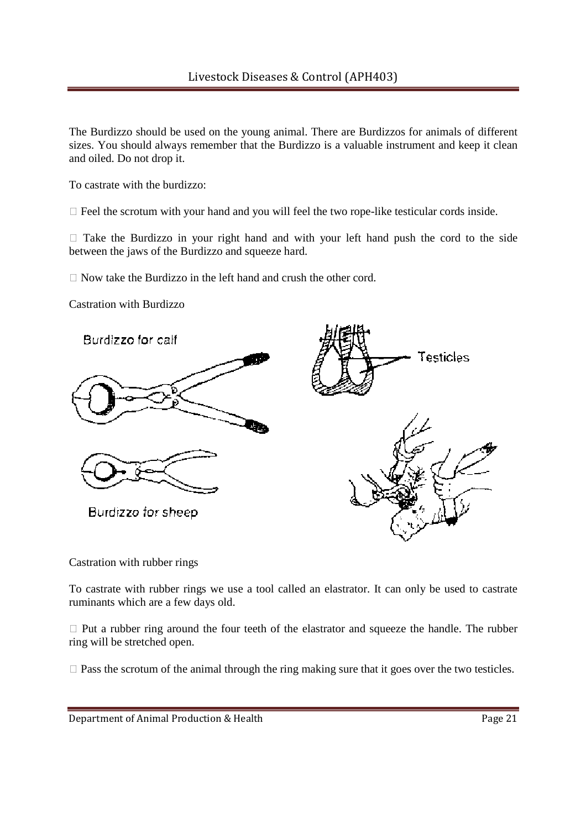The Burdizzo should be used on the young animal. There are Burdizzos for animals of different sizes. You should always remember that the Burdizzo is a valuable instrument and keep it clean and oiled. Do not drop it.

To castrate with the burdizzo:

Feel the scrotum with your hand and you will feel the two rope-like testicular cords inside.

 Take the Burdizzo in your right hand and with your left hand push the cord to the side between the jaws of the Burdizzo and squeeze hard.

Now take the Burdizzo in the left hand and crush the other cord.

Castration with Burdizzo



Castration with rubber rings

To castrate with rubber rings we use a tool called an elastrator. It can only be used to castrate ruminants which are a few days old.

 Put a rubber ring around the four teeth of the elastrator and squeeze the handle. The rubber ring will be stretched open.

Pass the scrotum of the animal through the ring making sure that it goes over the two testicles.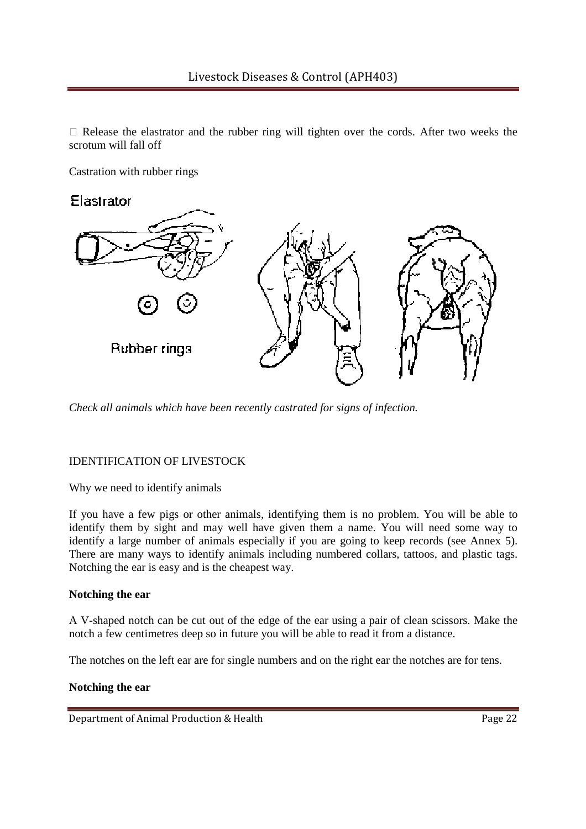Release the elastrator and the rubber ring will tighten over the cords. After two weeks the scrotum will fall off

Castration with rubber rings



*Check all animals which have been recently castrated for signs of infection.*

## IDENTIFICATION OF LIVESTOCK

Why we need to identify animals

If you have a few pigs or other animals, identifying them is no problem. You will be able to identify them by sight and may well have given them a name. You will need some way to identify a large number of animals especially if you are going to keep records (see Annex 5). There are many ways to identify animals including numbered collars, tattoos, and plastic tags. Notching the ear is easy and is the cheapest way.

### **Notching the ear**

A V-shaped notch can be cut out of the edge of the ear using a pair of clean scissors. Make the notch a few centimetres deep so in future you will be able to read it from a distance.

The notches on the left ear are for single numbers and on the right ear the notches are for tens.

### **Notching the ear**